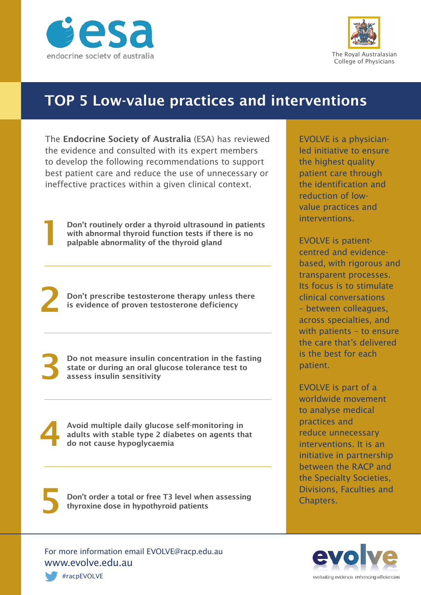



## TOP 5 Low-value practices and interventions

The Endocrine Society of Australia (ESA) has reviewed the evidence and consulted with its expert members to develop the following recommendations to support best patient care and reduce the use of unnecessary or ineffective practices within a given clinical context.

**Don't routinely order a thyroid ultrasound in patients**<br>with abnormal thyroid function tests if there is no<br>palpable abnormality of the thyroid gland

Don't prescribe testosterone therapy unless there is evidence of proven testosterone deficiency

Do not measure insulin concentration in the fasting state or during an oral glucose tolerance test to assess insulin sensitivity

Avoid multiple daily glucose self-monitoring in adults with stable type 2 diabetes on agents that do not cause hypoglycaemia

Don't order a total or free T3 level when assessing<br>thyroxine dose in hypothyroid patients

For more information email EVOLVE@racp.edu.au www.evolve.edu.au

EVOLVE is a physicianled initiative to ensure the highest quality patient care through the identification and reduction of lowvalue practices and interventions.

EVOLVE is patientcentred and evidencebased, with rigorous and transparent processes. Its focus is to stimulate clinical conversations – between colleagues, across specialties, and with patients – to ensure the care that's delivered is the best for each patient.

EVOLVE is part of a worldwide movement to analyse medical practices and reduce unnecessary interventions. It is an initiative in partnership between the RACP and the Specialty Societies, Divisions, Faculties and Chapters.



#racpEVOLVE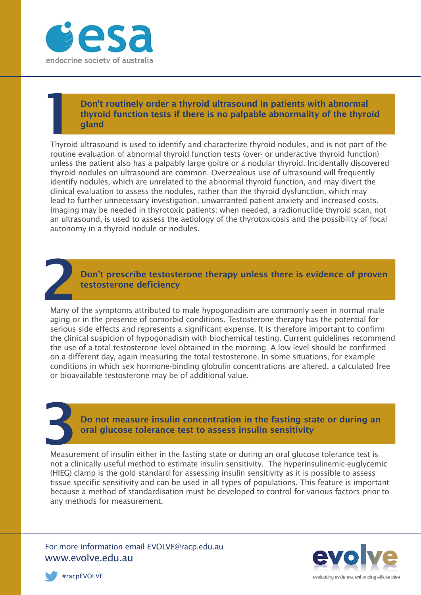

### Don't routinely order a thyroid ultrasound in patients with abnormal thyroid function tests if there is no palpable abnormality of the thyroid qland

Thyroid ultrasound is used to identify and characterize thyroid nodules, and is not part of the routine evaluation of abnormal thyroid function tests (over- or underactive thyroid function) unless the patient also has a palpably large goitre or a nodular thyroid. Incidentally discovered thyroid nodules on ultrasound are common. Overzealous use of ultrasound will frequently identify nodules, which are unrelated to the abnormal thyroid function, and may divert the clinical evaluation to assess the nodules, rather than the thyroid dysfunction, which may lead to further unnecessary investigation, unwarranted patient anxiety and increased costs. Imaging may be needed in thyrotoxic patients; when needed, a radionuclide thyroid scan, not an ultrasound, is used to assess the aetiology of the thyrotoxicosis and the possibility of focal autonomy in a thyroid nodule or nodules.



Many of the symptoms attributed to male hypogonadism are commonly seen in normal male aging or in the presence of comorbid conditions. Testosterone therapy has the potential for serious side effects and represents a significant expense. It is therefore important to confirm the clinical suspicion of hypogonadism with biochemical testing. Current guidelines recommend the use of a total testosterone level obtained in the morning. A low level should be confirmed on a different day, again measuring the total testosterone. In some situations, for example conditions in which sex hormone-binding globulin concentrations are altered, a calculated free or bioavailable testosterone may be of additional value.

Do not measure insulin concentration in the fasting state or during an oral glucose tolerance test to assess insulin sensitivity

Measurement of insulin either in the fasting state or during an oral glucose tolerance test is not a clinically useful method to estimate insulin sensitivity. The hyperinsulinemic-euglycemic (HIEG) clamp is the gold standard for assessing insulin sensitivity as it is possible to assess tissue specific sensitivity and can be used in all types of populations. This feature is important because a method of standardisation must be developed to control for various factors prior to any methods for measurement.

For more information email EVOLVE@racp.edu.au www.evolve.edu.au



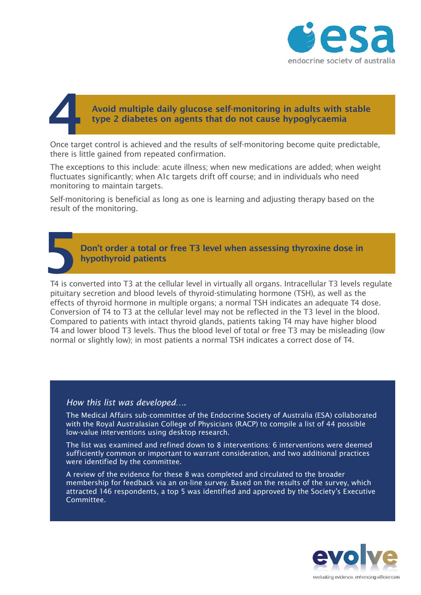

## Avoid multiple daily glucose self-monitoring in adults with stable type 2 diabetes on agents that do not cause hypoglycaemia

Once target control is achieved and the results of self-monitoring become quite predictable, there is little gained from repeated confirmation.

The exceptions to this include: acute illness; when new medications are added; when weight fluctuates significantly; when A1c targets drift off course; and in individuals who need monitoring to maintain targets.

Self-monitoring is beneficial as long as one is learning and adjusting therapy based on the result of the monitoring.

# Don't order a total or free T3 level when assessing thyroxine dose in hypothyroid patients

T4 is converted into T3 at the cellular level in virtually all organs. Intracellular T3 levels regulate pituitary secretion and blood levels of thyroid-stimulating hormone (TSH), as well as the effects of thyroid hormone in multiple organs; a normal TSH indicates an adequate T4 dose. Conversion of T4 to T3 at the cellular level may not be reflected in the T3 level in the blood. Compared to patients with intact thyroid glands, patients taking T4 may have higher blood T4 and lower blood T3 levels. Thus the blood level of total or free T3 may be misleading (low normal or slightly low); in most patients a normal TSH indicates a correct dose of T4.

#### *How this list was developed….*

The Medical Affairs sub-committee of the Endocrine Society of Australia (ESA) collaborated with the Royal Australasian College of Physicians (RACP) to compile a list of 44 possible low-value interventions using desktop research.

The list was examined and refined down to 8 interventions: 6 interventions were deemed sufficiently common or important to warrant consideration, and two additional practices were identified by the committee.

A review of the evidence for these 8 was completed and circulated to the broader membership for feedback via an on-line survey. Based on the results of the survey, which attracted 146 respondents, a top 5 was identified and approved by the Society's Executive Committee.